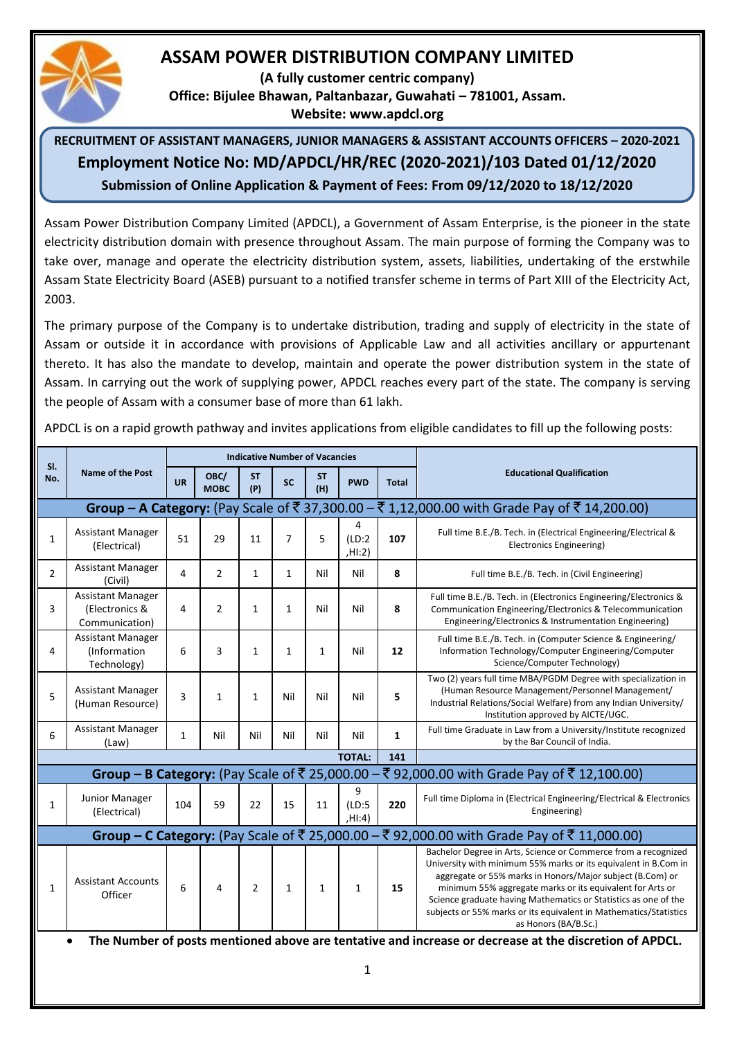# **ASSAM POWER DISTRIBUTION COMPANY LIMITED**

**(A fully customer centric company)**

**Office: Bijulee Bhawan, Paltanbazar, Guwahati – 781001, Assam.**

**Website: www.apdcl.org**

# **RECRUITMENT OF ASSISTANT MANAGERS, JUNIOR MANAGERS & ASSISTANT ACCOUNTS OFFICERS – 2020-2021 Employment Notice No: MD/APDCL/HR/REC (2020-2021)/103 Dated 01/12/2020 Submission of Online Application & Payment of Fees: From 09/12/2020 to 18/12/2020**

Assam Power Distribution Company Limited (APDCL), a Government of Assam Enterprise, is the pioneer in the state electricity distribution domain with presence throughout Assam. The main purpose of forming the Company was to take over, manage and operate the electricity distribution system, assets, liabilities, undertaking of the erstwhile Assam State Electricity Board (ASEB) pursuant to a notified transfer scheme in terms of Part XIII of the Electricity Act, 2003.

The primary purpose of the Company is to undertake distribution, trading and supply of electricity in the state of Assam or outside it in accordance with provisions of Applicable Law and all activities ancillary or appurtenant thereto. It has also the mandate to develop, maintain and operate the power distribution system in the state of Assam. In carrying out the work of supplying power, APDCL reaches every part of the state. The company is serving the people of Assam with a consumer base of more than 61 lakh.

APDCL is on a rapid growth pathway and invites applications from eligible candidates to fill up the following posts:

| SI.                                                                                                                 |                                                              | <b>Indicative Number of Vacancies</b> |                     |                  |                |                  |                       |              |                                                                                                                                                                                                                                                                                                                                                                                                                             |  |  |
|---------------------------------------------------------------------------------------------------------------------|--------------------------------------------------------------|---------------------------------------|---------------------|------------------|----------------|------------------|-----------------------|--------------|-----------------------------------------------------------------------------------------------------------------------------------------------------------------------------------------------------------------------------------------------------------------------------------------------------------------------------------------------------------------------------------------------------------------------------|--|--|
| No.                                                                                                                 | <b>Name of the Post</b>                                      | <b>UR</b>                             | OBC/<br><b>MOBC</b> | <b>ST</b><br>(P) | <b>SC</b>      | <b>ST</b><br>(H) | <b>PWD</b>            | <b>Total</b> | <b>Educational Qualification</b>                                                                                                                                                                                                                                                                                                                                                                                            |  |  |
| Group – A Category: (Pay Scale of ₹37,300.00 – ₹1,12,000.00 with Grade Pay of ₹14,200.00)                           |                                                              |                                       |                     |                  |                |                  |                       |              |                                                                                                                                                                                                                                                                                                                                                                                                                             |  |  |
| $\mathbf{1}$                                                                                                        | <b>Assistant Manager</b><br>(Electrical)                     | 51                                    | 29                  | 11               | $\overline{7}$ | 5                | 4<br>(LD:2)<br>H1:2)  | 107          | Full time B.E./B. Tech. in (Electrical Engineering/Electrical &<br><b>Electronics Engineering)</b>                                                                                                                                                                                                                                                                                                                          |  |  |
| $\overline{2}$                                                                                                      | <b>Assistant Manager</b><br>(Civil)                          | 4                                     | $\overline{2}$      | $\mathbf{1}$     | $\mathbf{1}$   | Nil              | Nil                   | 8            | Full time B.E./B. Tech. in (Civil Engineering)                                                                                                                                                                                                                                                                                                                                                                              |  |  |
| 3                                                                                                                   | <b>Assistant Manager</b><br>(Electronics &<br>Communication) | 4                                     | 2                   | 1                | 1              | Nil              | Nil                   | 8            | Full time B.E./B. Tech. in (Electronics Engineering/Electronics &<br>Communication Engineering/Electronics & Telecommunication<br>Engineering/Electronics & Instrumentation Engineering)                                                                                                                                                                                                                                    |  |  |
| 4                                                                                                                   | <b>Assistant Manager</b><br>(Information<br>Technology)      | 6                                     | 3                   | 1                | $\mathbf{1}$   | $\mathbf{1}$     | Nil                   | 12           | Full time B.E./B. Tech. in (Computer Science & Engineering/<br>Information Technology/Computer Engineering/Computer<br>Science/Computer Technology)                                                                                                                                                                                                                                                                         |  |  |
| 5                                                                                                                   | <b>Assistant Manager</b><br>(Human Resource)                 | 3                                     | 1                   | $\mathbf{1}$     | Nil            | Nil              | Nil                   | 5            | Two (2) years full time MBA/PGDM Degree with specialization in<br>(Human Resource Management/Personnel Management/<br>Industrial Relations/Social Welfare) from any Indian University/<br>Institution approved by AICTE/UGC.                                                                                                                                                                                                |  |  |
| 6                                                                                                                   | <b>Assistant Manager</b><br>(Law)                            | $\mathbf{1}$                          | Nil                 | Nil              | Nil            | Nil              | Nil                   | $\mathbf{1}$ | Full time Graduate in Law from a University/Institute recognized<br>by the Bar Council of India.                                                                                                                                                                                                                                                                                                                            |  |  |
|                                                                                                                     |                                                              |                                       |                     |                  |                |                  | <b>TOTAL:</b>         | 141          |                                                                                                                                                                                                                                                                                                                                                                                                                             |  |  |
|                                                                                                                     |                                                              |                                       |                     |                  |                |                  |                       |              | Group - B Category: (Pay Scale of ₹ 25,000.00 - ₹ 92,000.00 with Grade Pay of ₹ 12,100.00)                                                                                                                                                                                                                                                                                                                                  |  |  |
| 1                                                                                                                   | <b>Junior Manager</b><br>(Electrical)                        | 104                                   | 59                  | 22               | 15             | 11               | 9<br>(LD:5)<br>.HI:4) | 220          | Full time Diploma in (Electrical Engineering/Electrical & Electronics<br>Engineering)                                                                                                                                                                                                                                                                                                                                       |  |  |
|                                                                                                                     |                                                              |                                       |                     |                  |                |                  |                       |              | Group - C Category: (Pay Scale of ₹ 25,000.00 - ₹ 92,000.00 with Grade Pay of ₹ 11,000.00)                                                                                                                                                                                                                                                                                                                                  |  |  |
| $\mathbf{1}$                                                                                                        | <b>Assistant Accounts</b><br>Officer                         | 6                                     | $\overline{4}$      | $\overline{2}$   | $\mathbf{1}$   | 1                | 1                     | 15           | Bachelor Degree in Arts, Science or Commerce from a recognized<br>University with minimum 55% marks or its equivalent in B.Com in<br>aggregate or 55% marks in Honors/Major subject (B.Com) or<br>minimum 55% aggregate marks or its equivalent for Arts or<br>Science graduate having Mathematics or Statistics as one of the<br>subjects or 55% marks or its equivalent in Mathematics/Statistics<br>as Honors (BA/B.Sc.) |  |  |
| The Number of posts mentioned above are tentative and increase or decrease at the discretion of APDCL.<br>$\bullet$ |                                                              |                                       |                     |                  |                |                  |                       |              |                                                                                                                                                                                                                                                                                                                                                                                                                             |  |  |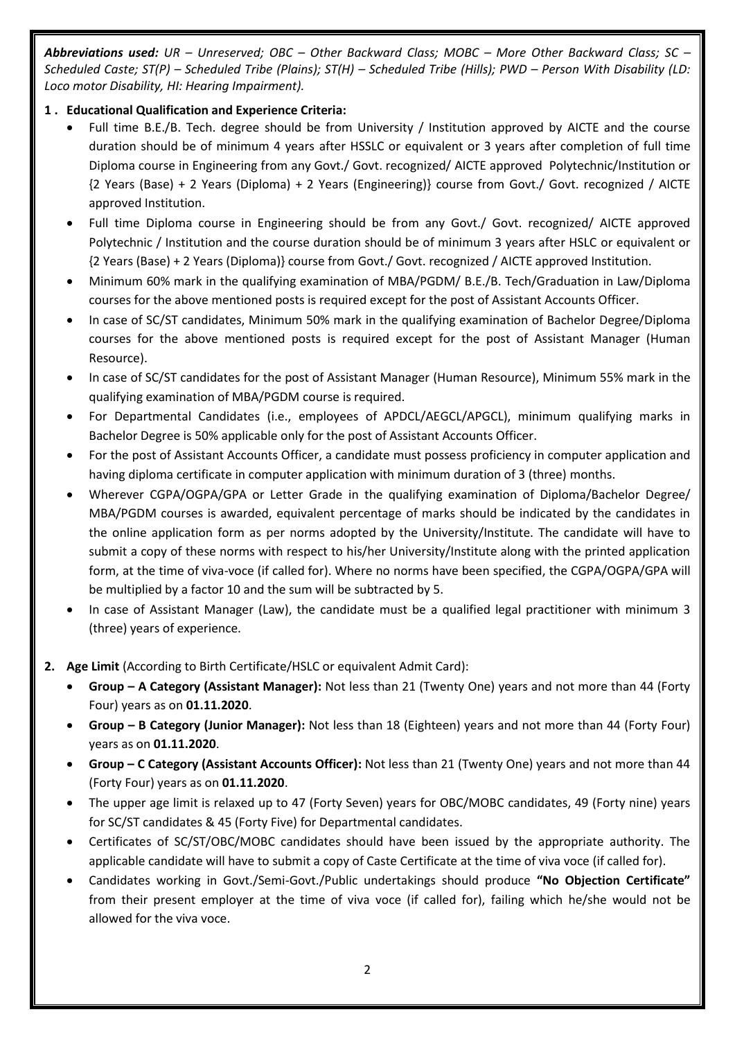*Abbreviations used: UR – Unreserved; OBC – Other Backward Class; MOBC – More Other Backward Class; SC – Scheduled Caste; ST(P) – Scheduled Tribe (Plains); ST(H) – Scheduled Tribe (Hills); PWD – Person With Disability (LD: Loco motor Disability, HI: Hearing Impairment).*

## **1 . Educational Qualification and Experience Criteria:**

- Full time B.E./B. Tech. degree should be from University / Institution approved by AICTE and the course duration should be of minimum 4 years after HSSLC or equivalent or 3 years after completion of full time Diploma course in Engineering from any Govt./ Govt. recognized/ AICTE approved Polytechnic/Institution or {2 Years (Base) + 2 Years (Diploma) + 2 Years (Engineering)} course from Govt./ Govt. recognized / AICTE approved Institution.
- Full time Diploma course in Engineering should be from any Govt./ Govt. recognized/ AICTE approved Polytechnic / Institution and the course duration should be of minimum 3 years after HSLC or equivalent or {2 Years (Base) + 2 Years (Diploma)} course from Govt./ Govt. recognized / AICTE approved Institution.
- Minimum 60% mark in the qualifying examination of MBA/PGDM/ B.E./B. Tech/Graduation in Law/Diploma courses for the above mentioned posts is required except for the post of Assistant Accounts Officer.
- In case of SC/ST candidates, Minimum 50% mark in the qualifying examination of Bachelor Degree/Diploma courses for the above mentioned posts is required except for the post of Assistant Manager (Human Resource).
- In case of SC/ST candidates for the post of Assistant Manager (Human Resource), Minimum 55% mark in the qualifying examination of MBA/PGDM course is required.
- For Departmental Candidates (i.e., employees of APDCL/AEGCL/APGCL), minimum qualifying marks in Bachelor Degree is 50% applicable only for the post of Assistant Accounts Officer.
- For the post of Assistant Accounts Officer, a candidate must possess proficiency in computer application and having diploma certificate in computer application with minimum duration of 3 (three) months.
- Wherever CGPA/OGPA/GPA or Letter Grade in the qualifying examination of Diploma/Bachelor Degree/ MBA/PGDM courses is awarded, equivalent percentage of marks should be indicated by the candidates in the online application form as per norms adopted by the University/Institute. The candidate will have to submit a copy of these norms with respect to his/her University/Institute along with the printed application form, at the time of viva-voce (if called for). Where no norms have been specified, the CGPA/OGPA/GPA will be multiplied by a factor 10 and the sum will be subtracted by 5.
- In case of Assistant Manager (Law), the candidate must be a qualified legal practitioner with minimum 3 (three) years of experience.
- **2. Age Limit** (According to Birth Certificate/HSLC or equivalent Admit Card):
	- **Group – A Category (Assistant Manager):** Not less than 21 (Twenty One) years and not more than 44 (Forty Four) years as on **01.11.2020**.
	- **Group – B Category (Junior Manager):** Not less than 18 (Eighteen) years and not more than 44 (Forty Four) years as on **01.11.2020**.
	- **Group – C Category (Assistant Accounts Officer):** Not less than 21 (Twenty One) years and not more than 44 (Forty Four) years as on **01.11.2020**.
	- The upper age limit is relaxed up to 47 (Forty Seven) years for OBC/MOBC candidates, 49 (Forty nine) years for SC/ST candidates & 45 (Forty Five) for Departmental candidates.
	- Certificates of SC/ST/OBC/MOBC candidates should have been issued by the appropriate authority. The applicable candidate will have to submit a copy of Caste Certificate at the time of viva voce (if called for).
	- Candidates working in Govt./Semi-Govt./Public undertakings should produce **"No Objection Certificate"** from their present employer at the time of viva voce (if called for), failing which he/she would not be allowed for the viva voce.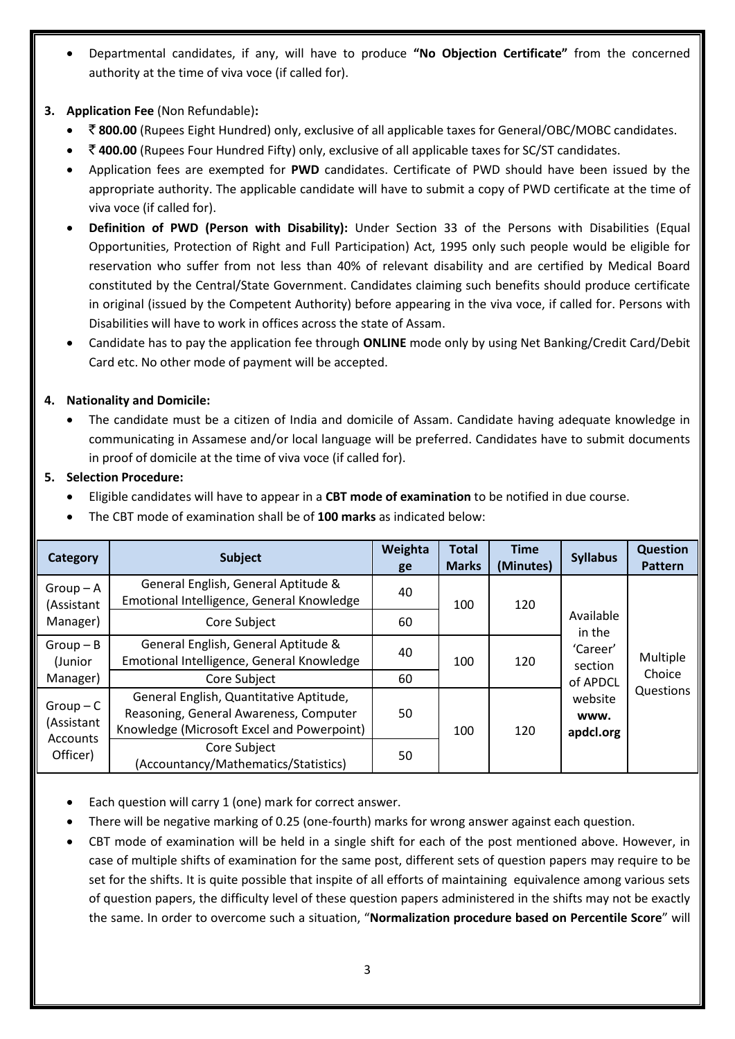- Departmental candidates, if any, will have to produce **"No Objection Certificate"** from the concerned authority at the time of viva voce (if called for).
- **3. Application Fee** (Non Refundable)**:**
	- ` **800.00** (Rupees Eight Hundred) only, exclusive of all applicable taxes for General/OBC/MOBC candidates.
	- ` **400.00** (Rupees Four Hundred Fifty) only, exclusive of all applicable taxes for SC/ST candidates.
	- Application fees are exempted for **PWD** candidates. Certificate of PWD should have been issued by the appropriate authority. The applicable candidate will have to submit a copy of PWD certificate at the time of viva voce (if called for).
	- **Definition of PWD (Person with Disability):** Under Section 33 of the Persons with Disabilities (Equal Opportunities, Protection of Right and Full Participation) Act, 1995 only such people would be eligible for reservation who suffer from not less than 40% of relevant disability and are certified by Medical Board constituted by the Central/State Government. Candidates claiming such benefits should produce certificate in original (issued by the Competent Authority) before appearing in the viva voce, if called for. Persons with Disabilities will have to work in offices across the state of Assam.
	- Candidate has to pay the application fee through **ONLINE** mode only by using Net Banking/Credit Card/Debit Card etc. No other mode of payment will be accepted.

## **4. Nationality and Domicile:**

 The candidate must be a citizen of India and domicile of Assam. Candidate having adequate knowledge in communicating in Assamese and/or local language will be preferred. Candidates have to submit documents in proof of domicile at the time of viva voce (if called for).

#### **5. Selection Procedure:**

- Eligible candidates will have to appear in a **CBT mode of examination** to be notified in due course.
- The CBT mode of examination shall be of **100 marks** as indicated below:

| <b>Category</b>                     | <b>Subject</b>                                                                                                                  | Weighta<br>ge | <b>Total</b><br><b>Marks</b> | <b>Time</b><br>(Minutes) | <b>Syllabus</b>                                                                        | <b>Question</b><br><b>Pattern</b> |
|-------------------------------------|---------------------------------------------------------------------------------------------------------------------------------|---------------|------------------------------|--------------------------|----------------------------------------------------------------------------------------|-----------------------------------|
| $Group-A$<br>(Assistant<br>Manager) | General English, General Aptitude &<br>Emotional Intelligence, General Knowledge                                                | 40            | 100                          | 120                      | Available<br>in the<br>'Career'<br>section<br>of APDCL<br>website<br>www.<br>apdcl.org | Multiple<br>Choice<br>Questions   |
|                                     | Core Subject                                                                                                                    | 60            |                              |                          |                                                                                        |                                   |
| $Group - B$<br>(Junior              | General English, General Aptitude &<br>Emotional Intelligence, General Knowledge                                                | 40            | 100                          | 120                      |                                                                                        |                                   |
| Manager)                            | Core Subject                                                                                                                    | 60            |                              |                          |                                                                                        |                                   |
| $Group-C$<br>(Assistant             | General English, Quantitative Aptitude,<br>Reasoning, General Awareness, Computer<br>Knowledge (Microsoft Excel and Powerpoint) | 50            | 100                          | 120                      |                                                                                        |                                   |
| Accounts<br>Officer)                | Core Subject<br>(Accountancy/Mathematics/Statistics)                                                                            | 50            |                              |                          |                                                                                        |                                   |

- Each question will carry 1 (one) mark for correct answer.
- There will be negative marking of 0.25 (one-fourth) marks for wrong answer against each question.
- CBT mode of examination will be held in a single shift for each of the post mentioned above. However, in case of multiple shifts of examination for the same post, different sets of question papers may require to be set for the shifts. It is quite possible that inspite of all efforts of maintaining equivalence among various sets of question papers, the difficulty level of these question papers administered in the shifts may not be exactly the same. In order to overcome such a situation, "**Normalization procedure based on Percentile Score**" will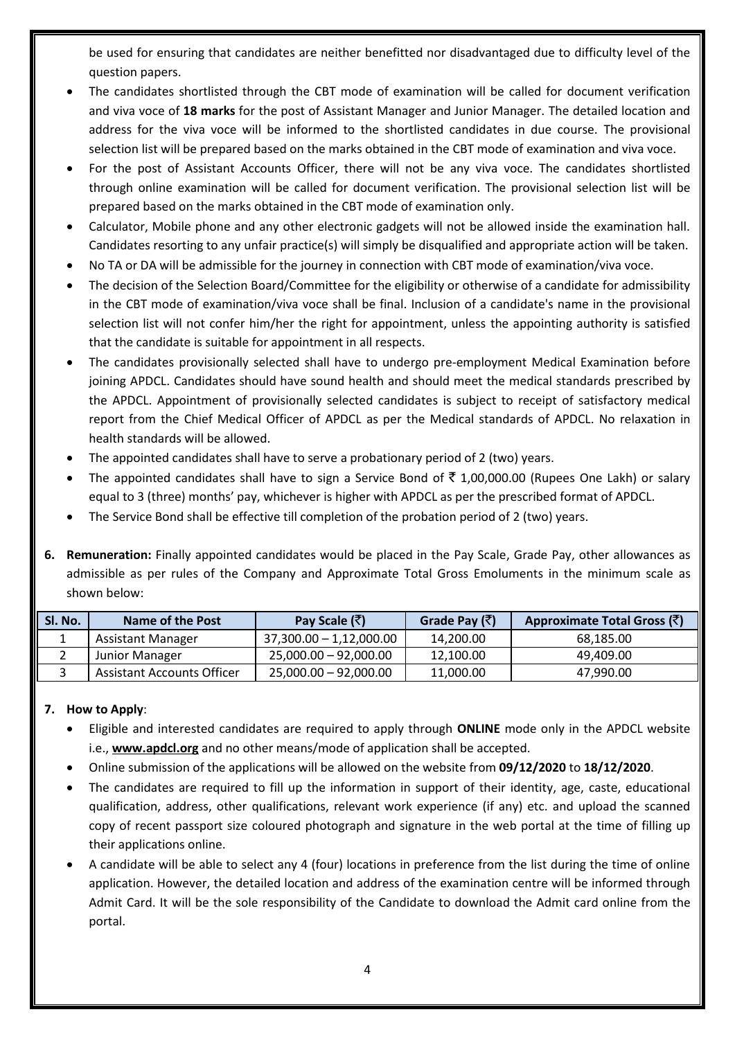be used for ensuring that candidates are neither benefitted nor disadvantaged due to difficulty level of the question papers.

- The candidates shortlisted through the CBT mode of examination will be called for document verification and viva voce of **18 marks** for the post of Assistant Manager and Junior Manager. The detailed location and address for the viva voce will be informed to the shortlisted candidates in due course. The provisional selection list will be prepared based on the marks obtained in the CBT mode of examination and viva voce.
- For the post of Assistant Accounts Officer, there will not be any viva voce. The candidates shortlisted through online examination will be called for document verification. The provisional selection list will be prepared based on the marks obtained in the CBT mode of examination only.
- Calculator, Mobile phone and any other electronic gadgets will not be allowed inside the examination hall. Candidates resorting to any unfair practice(s) will simply be disqualified and appropriate action will be taken.
- No TA or DA will be admissible for the journey in connection with CBT mode of examination/viva voce.
- The decision of the Selection Board/Committee for the eligibility or otherwise of a candidate for admissibility in the CBT mode of examination/viva voce shall be final. Inclusion of a candidate's name in the provisional selection list will not confer him/her the right for appointment, unless the appointing authority is satisfied that the candidate is suitable for appointment in all respects.
- The candidates provisionally selected shall have to undergo pre-employment Medical Examination before joining APDCL. Candidates should have sound health and should meet the medical standards prescribed by the APDCL. Appointment of provisionally selected candidates is subject to receipt of satisfactory medical report from the Chief Medical Officer of APDCL as per the Medical standards of APDCL. No relaxation in health standards will be allowed.
- The appointed candidates shall have to serve a probationary period of 2 (two) years.
- The appointed candidates shall have to sign a Service Bond of  $\bar{\tau}$  1,00,000.00 (Rupees One Lakh) or salary equal to 3 (three) months' pay, whichever is higher with APDCL as per the prescribed format of APDCL.
- The Service Bond shall be effective till completion of the probation period of 2 (two) years.
- **6. Remuneration:** Finally appointed candidates would be placed in the Pay Scale, Grade Pay, other allowances as admissible as per rules of the Company and Approximate Total Gross Emoluments in the minimum scale as shown below:

| SI. No. | Name of the Post           | Pay Scale (₹)             | Grade Pay $(\bar{\vec{\tau}})$ | Approximate Total Gross (₹) |
|---------|----------------------------|---------------------------|--------------------------------|-----------------------------|
|         | Assistant Manager          | $37,300.00 - 1,12,000.00$ | 14,200.00                      | 68.185.00                   |
|         | Junior Manager             | $25,000.00 - 92,000.00$   | 12,100.00                      | 49,409.00                   |
|         | Assistant Accounts Officer | $25,000.00 - 92,000.00$   | 11,000.00                      | 47,990.00                   |

# **7. How to Apply**:

- Eligible and interested candidates are required to apply through **ONLINE** mode only in the APDCL website i.e., **[www.apdcl.org](http://www.apdcl.org/)** and no other means/mode of application shall be accepted.
- Online submission of the applications will be allowed on the website from **09/12/2020** to **18/12/2020**.
- The candidates are required to fill up the information in support of their identity, age, caste, educational qualification, address, other qualifications, relevant work experience (if any) etc. and upload the scanned copy of recent passport size coloured photograph and signature in the web portal at the time of filling up their applications online.
- A candidate will be able to select any 4 (four) locations in preference from the list during the time of online application. However, the detailed location and address of the examination centre will be informed through Admit Card. It will be the sole responsibility of the Candidate to download the Admit card online from the portal.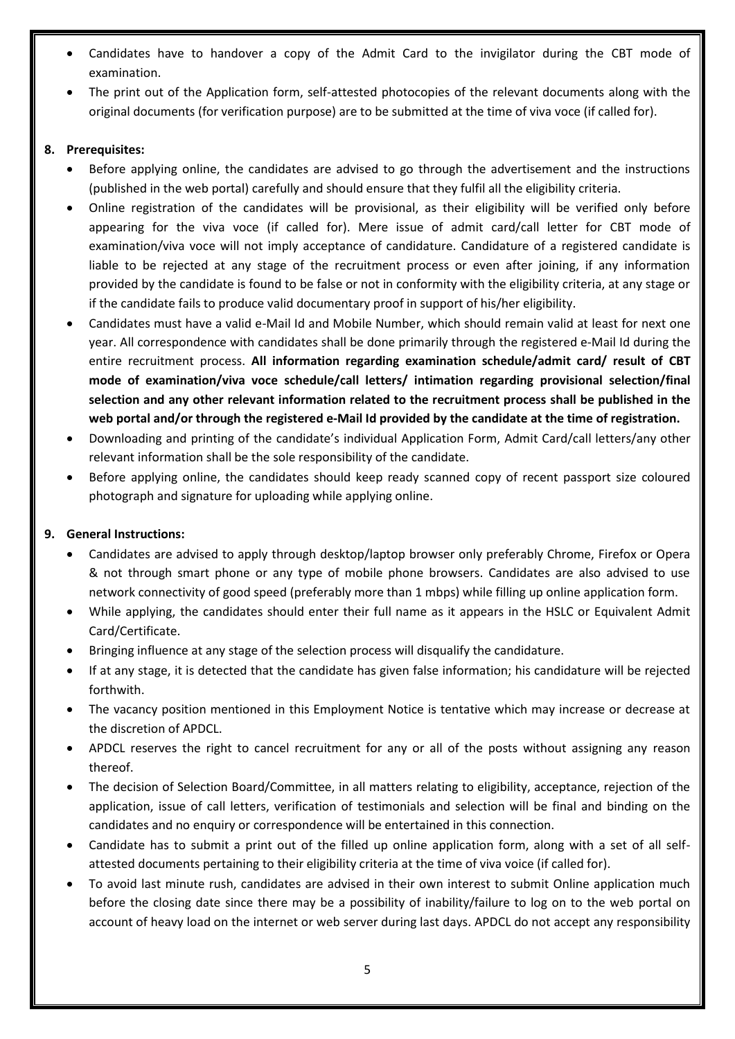- Candidates have to handover a copy of the Admit Card to the invigilator during the CBT mode of examination.
- The print out of the Application form, self-attested photocopies of the relevant documents along with the original documents (for verification purpose) are to be submitted at the time of viva voce (if called for).

### **8. Prerequisites:**

- Before applying online, the candidates are advised to go through the advertisement and the instructions (published in the web portal) carefully and should ensure that they fulfil all the eligibility criteria.
- Online registration of the candidates will be provisional, as their eligibility will be verified only before appearing for the viva voce (if called for). Mere issue of admit card/call letter for CBT mode of examination/viva voce will not imply acceptance of candidature. Candidature of a registered candidate is liable to be rejected at any stage of the recruitment process or even after joining, if any information provided by the candidate is found to be false or not in conformity with the eligibility criteria, at any stage or if the candidate fails to produce valid documentary proof in support of his/her eligibility.
- Candidates must have a valid e-Mail Id and Mobile Number, which should remain valid at least for next one year. All correspondence with candidates shall be done primarily through the registered e-Mail Id during the entire recruitment process. **All information regarding examination schedule/admit card/ result of CBT mode of examination/viva voce schedule/call letters/ intimation regarding provisional selection/final selection and any other relevant information related to the recruitment process shall be published in the web portal and/or through the registered e-Mail Id provided by the candidate at the time of registration.**
- Downloading and printing of the candidate's individual Application Form, Admit Card/call letters/any other relevant information shall be the sole responsibility of the candidate.
- Before applying online, the candidates should keep ready scanned copy of recent passport size coloured photograph and signature for uploading while applying online.

# **9. General Instructions:**

- Candidates are advised to apply through desktop/laptop browser only preferably Chrome, Firefox or Opera & not through smart phone or any type of mobile phone browsers. Candidates are also advised to use network connectivity of good speed (preferably more than 1 mbps) while filling up online application form.
- While applying, the candidates should enter their full name as it appears in the HSLC or Equivalent Admit Card/Certificate.
- Bringing influence at any stage of the selection process will disqualify the candidature.
- If at any stage, it is detected that the candidate has given false information; his candidature will be rejected forthwith.
- The vacancy position mentioned in this Employment Notice is tentative which may increase or decrease at the discretion of APDCL.
- APDCL reserves the right to cancel recruitment for any or all of the posts without assigning any reason thereof.
- The decision of Selection Board/Committee, in all matters relating to eligibility, acceptance, rejection of the application, issue of call letters, verification of testimonials and selection will be final and binding on the candidates and no enquiry or correspondence will be entertained in this connection.
- Candidate has to submit a print out of the filled up online application form, along with a set of all selfattested documents pertaining to their eligibility criteria at the time of viva voice (if called for).
- To avoid last minute rush, candidates are advised in their own interest to submit Online application much before the closing date since there may be a possibility of inability/failure to log on to the web portal on account of heavy load on the internet or web server during last days. APDCL do not accept any responsibility